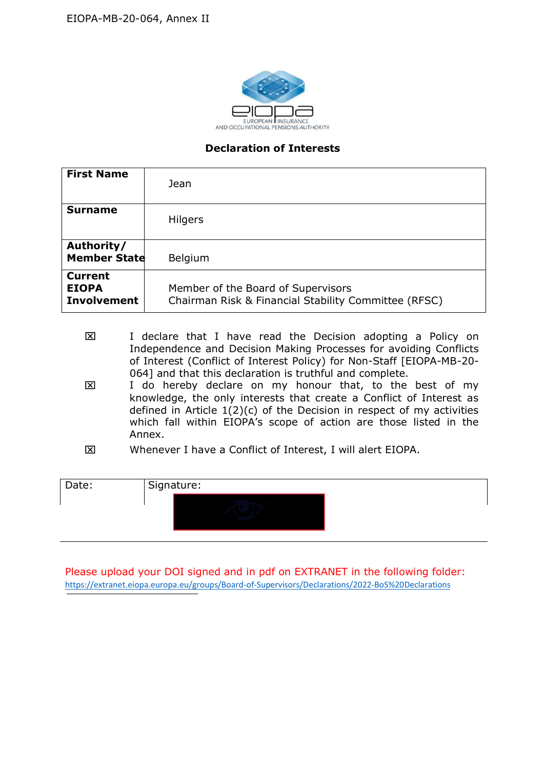

## Declaration of Interests

| <b>First Name</b>                                    | Jean                                                                                                                                                                                                                                                                                                                                                                                                                                                                                                                                                                 |
|------------------------------------------------------|----------------------------------------------------------------------------------------------------------------------------------------------------------------------------------------------------------------------------------------------------------------------------------------------------------------------------------------------------------------------------------------------------------------------------------------------------------------------------------------------------------------------------------------------------------------------|
| <b>Surname</b>                                       | Hilgers                                                                                                                                                                                                                                                                                                                                                                                                                                                                                                                                                              |
| Authority/<br><b>Member State</b>                    | Belgium                                                                                                                                                                                                                                                                                                                                                                                                                                                                                                                                                              |
| <b>Current</b><br><b>EIOPA</b><br><b>Involvement</b> | Member of the Board of Supervisors<br>Chairman Risk & Financial Stability Committee (RFSC)                                                                                                                                                                                                                                                                                                                                                                                                                                                                           |
| 区<br>区                                               | I declare that I have read the Decision adopting a Policy on<br>Independence and Decision Making Processes for avoiding Conflicts<br>of Interest (Conflict of Interest Policy) for Non-Staff [EIOPA-MB-20-<br>064] and that this declaration is truthful and complete.<br>I do hereby declare on my honour that, to the best of my<br>knowledge, the only interests that create a Conflict of Interest as<br>defined in Article $1(2)(c)$ of the Decision in respect of my activities<br>which fall within EIOPA's scope of action are those listed in the<br>Annex. |
| 囟                                                    | Whenever I have a Conflict of Interest, I will alert EIOPA.                                                                                                                                                                                                                                                                                                                                                                                                                                                                                                          |
| Date:                                                | Signature:                                                                                                                                                                                                                                                                                                                                                                                                                                                                                                                                                           |

- I declare that I have read the Decision adopting a Policy on Independence and Decision Making Processes for avoiding Conflicts of Interest (Conflict of Interest Policy) for Non-Staff [EIOPA-MB-20- 064] and that this declaration is truthful and complete.
- I do hereby declare on my honour that, to the best of my knowledge, the only interests that create a Conflict of Interest as defined in Article  $1(2)(c)$  of the Decision in respect of my activities which fall within EIOPA's scope of action are those listed in the Annex.
- Whenever I have a Conflict of Interest, I will alert EIOPA.

Please upload your DOI signed and in pdf on EXTRANET in the following folder: https://extranet.eiopa.europa.eu/groups/Board-of-Supervisors/Declarations/2022-BoS%20Declarations